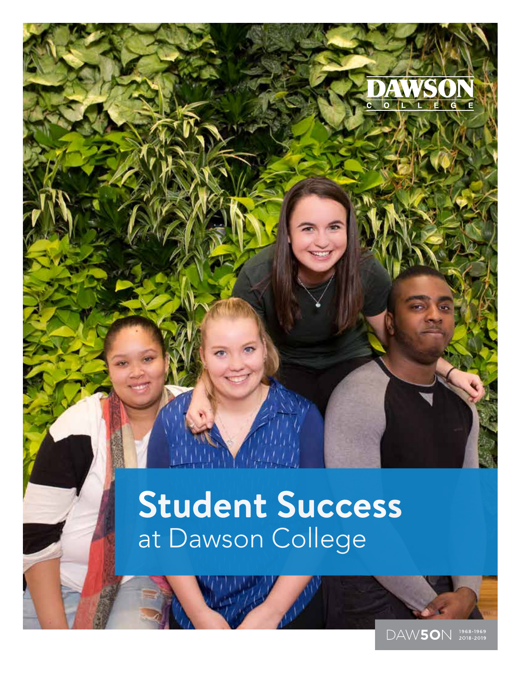# **Student Success** at Dawson College

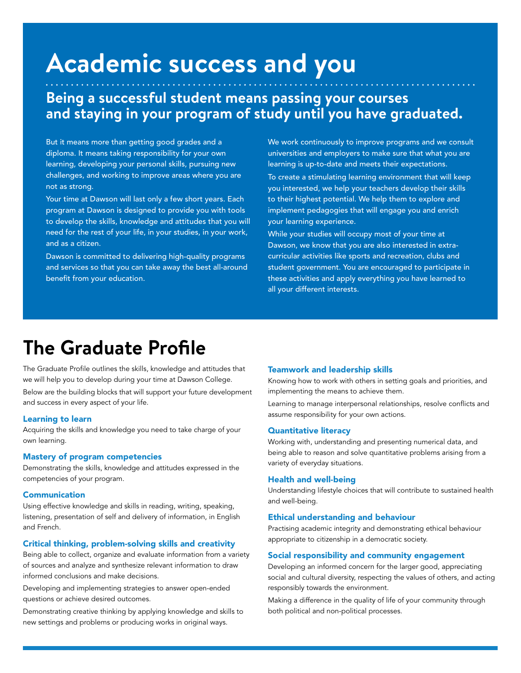## **Academic success and you**

### **Being a successful student means passing your courses and staying in your program of study until you have graduated.**

But it means more than getting good grades and a diploma. It means taking responsibility for your own learning, developing your personal skills, pursuing new challenges, and working to improve areas where you are not as strong.

Your time at Dawson will last only a few short years. Each program at Dawson is designed to provide you with tools to develop the skills, knowledge and attitudes that you will need for the rest of your life, in your studies, in your work, and as a citizen.

Dawson is committed to delivering high-quality programs and services so that you can take away the best all-around benefit from your education.

We work continuously to improve programs and we consult universities and employers to make sure that what you are learning is up-to-date and meets their expectations.

To create a stimulating learning environment that will keep you interested, we help your teachers develop their skills to their highest potential. We help them to explore and implement pedagogies that will engage you and enrich your learning experience.

While your studies will occupy most of your time at Dawson, we know that you are also interested in extracurricular activities like sports and recreation, clubs and student government. You are encouraged to participate in these activities and apply everything you have learned to all your different interests.

### **The Graduate Profile**

The Graduate Profile outlines the skills, knowledge and attitudes that we will help you to develop during your time at Dawson College.

Below are the building blocks that will support your future development and success in every aspect of your life.

### Learning to learn

Acquiring the skills and knowledge you need to take charge of your own learning.

### Mastery of program competencies

Demonstrating the skills, knowledge and attitudes expressed in the competencies of your program.

### Communication

Using effective knowledge and skills in reading, writing, speaking, listening, presentation of self and delivery of information, in English and French.

### Critical thinking, problem-solving skills and creativity

Being able to collect, organize and evaluate information from a variety of sources and analyze and synthesize relevant information to draw informed conclusions and make decisions.

Developing and implementing strategies to answer open-ended questions or achieve desired outcomes.

Demonstrating creative thinking by applying knowledge and skills to new settings and problems or producing works in original ways.

#### Teamwork and leadership skills

Knowing how to work with others in setting goals and priorities, and implementing the means to achieve them.

Learning to manage interpersonal relationships, resolve conflicts and assume responsibility for your own actions.

### Quantitative literacy

Working with, understanding and presenting numerical data, and being able to reason and solve quantitative problems arising from a variety of everyday situations.

### Health and well-being

Understanding lifestyle choices that will contribute to sustained health and well-being.

### Ethical understanding and behaviour

Practising academic integrity and demonstrating ethical behaviour appropriate to citizenship in a democratic society.

### Social responsibility and community engagement

Developing an informed concern for the larger good, appreciating social and cultural diversity, respecting the values of others, and acting responsibly towards the environment.

Making a difference in the quality of life of your community through both political and non-political processes.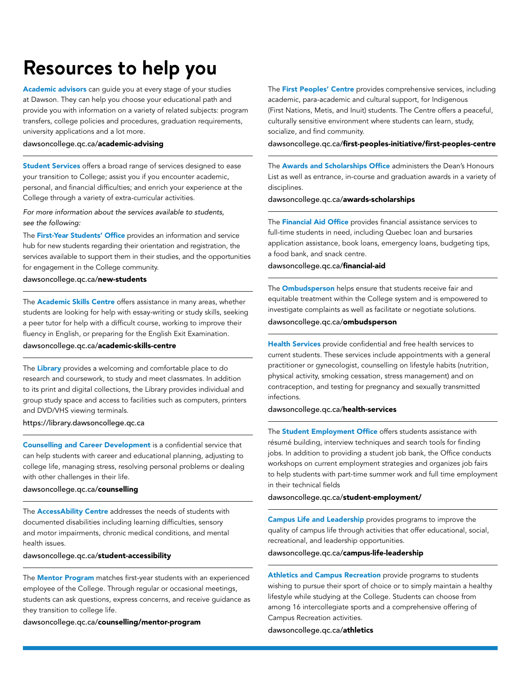### **Resources to help you**

Academic advisors can guide you at every stage of your studies at Dawson. They can help you choose your educational path and provide you with information on a variety of related subjects: program transfers, college policies and procedures, graduation requirements, university applications and a lot more.

#### dawsoncollege.qc.ca/academic-advising

Student Services offers a broad range of services designed to ease your transition to College; assist you if you encounter academic, personal, and financial difficulties; and enrich your experience at the College through a variety of extra-curricular activities.

*For more information about the services available to students, see the following:*

The **First-Year Students' Office** provides an information and service hub for new students regarding their orientation and registration, the services available to support them in their studies, and the opportunities for engagement in the College community.

### dawsoncollege.qc.ca/new-students

The **Academic Skills Centre** offers assistance in many areas, whether students are looking for help with essay-writing or study skills, seeking a peer tutor for help with a difficult course, working to improve their fluency in English, or preparing for the English Exit Examination.

### dawsoncollege.qc.ca/academic-skills-centre

The Library provides a welcoming and comfortable place to do research and coursework, to study and meet classmates. In addition to its print and digital collections, the Library provides individual and group study space and access to facilities such as computers, printers and DVD/VHS viewing terminals.

### https://library.dawsoncollege.qc.ca

Counselling and Career Development is a confidential service that can help students with career and educational planning, adjusting to college life, managing stress, resolving personal problems or dealing with other challenges in their life.

### dawsoncollege.qc.ca/counselling

The **AccessAbility Centre** addresses the needs of students with documented disabilities including learning difficulties, sensory and motor impairments, chronic medical conditions, and mental health issues.

dawsoncollege.qc.ca/student-accessibility

The **Mentor Program** matches first-year students with an experienced employee of the College. Through regular or occasional meetings, students can ask questions, express concerns, and receive guidance as they transition to college life.

dawsoncollege.qc.ca/counselling/mentor-program

The First Peoples' Centre provides comprehensive services, including academic, para-academic and cultural support, for Indigenous (First Nations, Metis, and Inuit) students. The Centre offers a peaceful, culturally sensitive environment where students can learn, study, socialize, and find community.

#### dawsoncollege.qc.ca/first-peoples-initiative/first-peoples-centre

The **Awards and Scholarships Office** administers the Dean's Honours List as well as entrance, in-course and graduation awards in a variety of disciplines.

dawsoncollege.qc.ca/awards-scholarships

The **Financial Aid Office** provides financial assistance services to full-time students in need, including Quebec loan and bursaries application assistance, book loans, emergency loans, budgeting tips, a food bank, and snack centre.

### dawsoncollege.qc.ca/financial-aid

The **Ombudsperson** helps ensure that students receive fair and equitable treatment within the College system and is empowered to investigate complaints as well as facilitate or negotiate solutions. dawsoncollege.qc.ca/ombudsperson

Health Services provide confidential and free health services to current students. These services include appointments with a general practitioner or gynecologist, counselling on lifestyle habits (nutrition, physical activity, smoking cessation, stress management) and on contraception, and testing for pregnancy and sexually transmitted infections.

### dawsoncollege.qc.ca/health-services

The **Student Employment Office** offers students assistance with résumé building, interview techniques and search tools for finding jobs. In addition to providing a student job bank, the Office conducts workshops on current employment strategies and organizes job fairs to help students with part-time summer work and full time employment in their technical fields

dawsoncollege.qc.ca/student-employment/

Campus Life and Leadership provides programs to improve the quality of campus life through activities that offer educational, social, recreational, and leadership opportunities.

dawsoncollege.qc.ca/campus-life-leadership

Athletics and Campus Recreation provide programs to students wishing to pursue their sport of choice or to simply maintain a healthy lifestyle while studying at the College. Students can choose from among 16 intercollegiate sports and a comprehensive offering of Campus Recreation activities.

dawsoncollege.qc.ca/athletics